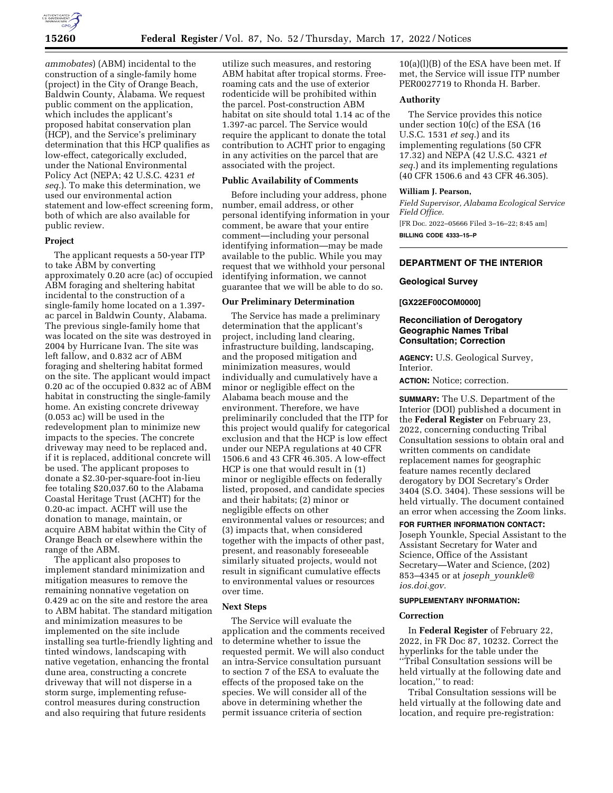

*ammobates*) (ABM) incidental to the construction of a single-family home (project) in the City of Orange Beach, Baldwin County, Alabama. We request public comment on the application, which includes the applicant's proposed habitat conservation plan (HCP), and the Service's preliminary determination that this HCP qualifies as low-effect, categorically excluded, under the National Environmental Policy Act (NEPA; 42 U.S.C. 4231 *et seq.*). To make this determination, we used our environmental action statement and low-effect screening form, both of which are also available for public review.

## **Project**

The applicant requests a 50-year ITP to take ABM by converting approximately 0.20 acre (ac) of occupied ABM foraging and sheltering habitat incidental to the construction of a single-family home located on a 1.397 ac parcel in Baldwin County, Alabama. The previous single-family home that was located on the site was destroyed in 2004 by Hurricane Ivan. The site was left fallow, and 0.832 acr of ABM foraging and sheltering habitat formed on the site. The applicant would impact 0.20 ac of the occupied 0.832 ac of ABM habitat in constructing the single-family home. An existing concrete driveway (0.053 ac) will be used in the redevelopment plan to minimize new impacts to the species. The concrete driveway may need to be replaced and, if it is replaced, additional concrete will be used. The applicant proposes to donate a \$2.30-per-square-foot in-lieu fee totaling \$20,037.60 to the Alabama Coastal Heritage Trust (ACHT) for the 0.20-ac impact. ACHT will use the donation to manage, maintain, or acquire ABM habitat within the City of Orange Beach or elsewhere within the range of the ABM.

The applicant also proposes to implement standard minimization and mitigation measures to remove the remaining nonnative vegetation on 0.429 ac on the site and restore the area to ABM habitat. The standard mitigation and minimization measures to be implemented on the site include installing sea turtle-friendly lighting and tinted windows, landscaping with native vegetation, enhancing the frontal dune area, constructing a concrete driveway that will not disperse in a storm surge, implementing refusecontrol measures during construction and also requiring that future residents

utilize such measures, and restoring ABM habitat after tropical storms. Freeroaming cats and the use of exterior rodenticide will be prohibited within the parcel. Post-construction ABM habitat on site should total 1.14 ac of the 1.397-ac parcel. The Service would require the applicant to donate the total contribution to ACHT prior to engaging in any activities on the parcel that are associated with the project.

## **Public Availability of Comments**

Before including your address, phone number, email address, or other personal identifying information in your comment, be aware that your entire comment—including your personal identifying information—may be made available to the public. While you may request that we withhold your personal identifying information, we cannot guarantee that we will be able to do so.

## **Our Preliminary Determination**

The Service has made a preliminary determination that the applicant's project, including land clearing, infrastructure building, landscaping, and the proposed mitigation and minimization measures, would individually and cumulatively have a minor or negligible effect on the Alabama beach mouse and the environment. Therefore, we have preliminarily concluded that the ITP for this project would qualify for categorical exclusion and that the HCP is low effect under our NEPA regulations at 40 CFR 1506.6 and 43 CFR 46.305. A low-effect HCP is one that would result in (1) minor or negligible effects on federally listed, proposed, and candidate species and their habitats; (2) minor or negligible effects on other environmental values or resources; and (3) impacts that, when considered together with the impacts of other past, present, and reasonably foreseeable similarly situated projects, would not result in significant cumulative effects to environmental values or resources over time.

## **Next Steps**

The Service will evaluate the application and the comments received to determine whether to issue the requested permit. We will also conduct an intra-Service consultation pursuant to section 7 of the ESA to evaluate the effects of the proposed take on the species. We will consider all of the above in determining whether the permit issuance criteria of section

10(a)(l)(B) of the ESA have been met. If met, the Service will issue ITP number PER0027719 to Rhonda H. Barber.

## **Authority**

The Service provides this notice under section 10(c) of the ESA (16 U.S.C. 1531 *et seq.*) and its implementing regulations (50 CFR 17.32) and NEPA (42 U.S.C. 4321 *et seq.*) and its implementing regulations (40 CFR 1506.6 and 43 CFR 46.305).

#### **William J. Pearson,**

*Field Supervisor, Alabama Ecological Service Field Office.* 

[FR Doc. 2022–05666 Filed 3–16–22; 8:45 am] **BILLING CODE 4333–15–P** 

#### **DEPARTMENT OF THE INTERIOR**

## **Geological Survey**

## **[GX22EF00COM0000]**

## **Reconciliation of Derogatory Geographic Names Tribal Consultation; Correction**

**AGENCY:** U.S. Geological Survey, Interior.

**ACTION:** Notice; correction.

**SUMMARY:** The U.S. Department of the Interior (DOI) published a document in the **Federal Register** on February 23, 2022, concerning conducting Tribal Consultation sessions to obtain oral and written comments on candidate replacement names for geographic feature names recently declared derogatory by DOI Secretary's Order 3404 (S.O. 3404). These sessions will be held virtually. The document contained an error when accessing the Zoom links.

## **FOR FURTHER INFORMATION CONTACT:**

Joseph Younkle, Special Assistant to the Assistant Secretary for Water and Science, Office of the Assistant Secretary—Water and Science, (202) 853–4345 or at *joseph*\_*[younkle@](mailto:joseph_younkle@ios.doi.gov) [ios.doi.gov.](mailto:joseph_younkle@ios.doi.gov)* 

# **SUPPLEMENTARY INFORMATION:**

#### **Correction**

In **Federal Register** of February 22, 2022, in FR Doc 87, 10232. Correct the hyperlinks for the table under the ''Tribal Consultation sessions will be held virtually at the following date and location,'' to read:

Tribal Consultation sessions will be held virtually at the following date and location, and require pre-registration: